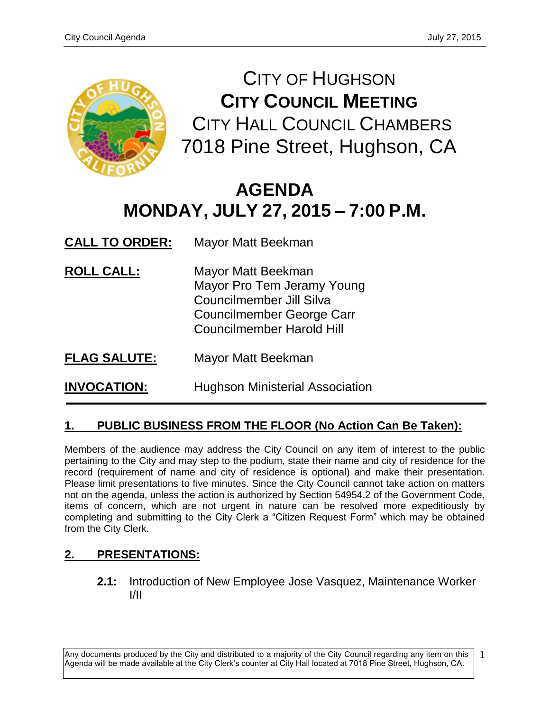

CITY OF HUGHSON **CITY COUNCIL MEETING** CITY HALL COUNCIL CHAMBERS 7018 Pine Street, Hughson, CA

# **AGENDA MONDAY, JULY 27, 2015 – 7:00 P.M.**

**CALL TO ORDER:** Mayor Matt Beekman

- **ROLL CALL:** Mayor Matt Beekman Mayor Pro Tem Jeramy Young Councilmember Jill Silva Councilmember George Carr Councilmember Harold Hill
- **FLAG SALUTE:** Mayor Matt Beekman

**INVOCATION:** Hughson Ministerial Association

# **1. PUBLIC BUSINESS FROM THE FLOOR (No Action Can Be Taken):**

Members of the audience may address the City Council on any item of interest to the public pertaining to the City and may step to the podium, state their name and city of residence for the record (requirement of name and city of residence is optional) and make their presentation. Please limit presentations to five minutes. Since the City Council cannot take action on matters not on the agenda, unless the action is authorized by Section 54954.2 of the Government Code, items of concern, which are not urgent in nature can be resolved more expeditiously by completing and submitting to the City Clerk a "Citizen Request Form" which may be obtained from the City Clerk.

# **2. PRESENTATIONS:**

**2.1:** Introduction of New Employee Jose Vasquez, Maintenance Worker I/II

Any documents produced by the City and distributed to a majority of the City Council regarding any item on this Agenda will be made available at the City Clerk's counter at City Hall located at 7018 Pine Street, Hughson, CA.

1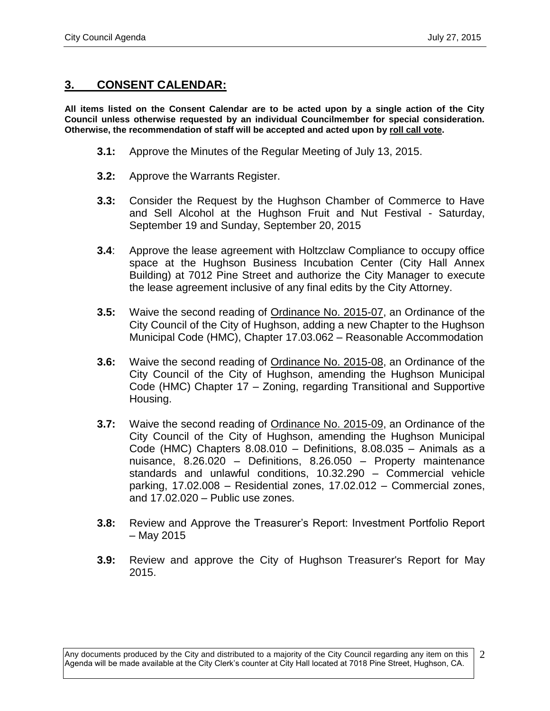#### **3. CONSENT CALENDAR:**

**All items listed on the Consent Calendar are to be acted upon by a single action of the City Council unless otherwise requested by an individual Councilmember for special consideration. Otherwise, the recommendation of staff will be accepted and acted upon by roll call vote.**

- **3.1:** Approve the Minutes of the Regular Meeting of July 13, 2015.
- **3.2:** Approve the Warrants Register.
- **3.3:** Consider the Request by the Hughson Chamber of Commerce to Have and Sell Alcohol at the Hughson Fruit and Nut Festival - Saturday, September 19 and Sunday, September 20, 2015
- **3.4**: Approve the lease agreement with Holtzclaw Compliance to occupy office space at the Hughson Business Incubation Center (City Hall Annex Building) at 7012 Pine Street and authorize the City Manager to execute the lease agreement inclusive of any final edits by the City Attorney.
- **3.5:** Waive the second reading of Ordinance No. 2015-07, an Ordinance of the City Council of the City of Hughson, adding a new Chapter to the Hughson Municipal Code (HMC), Chapter 17.03.062 – Reasonable Accommodation
- **3.6:** Waive the second reading of Ordinance No. 2015-08, an Ordinance of the City Council of the City of Hughson, amending the Hughson Municipal Code (HMC) Chapter 17 – Zoning, regarding Transitional and Supportive Housing.
- **3.7:** Waive the second reading of Ordinance No. 2015-09, an Ordinance of the City Council of the City of Hughson, amending the Hughson Municipal Code (HMC) Chapters 8.08.010 – Definitions, 8.08.035 – Animals as a nuisance, 8.26.020 – Definitions, 8.26.050 – Property maintenance standards and unlawful conditions, 10.32.290 – Commercial vehicle parking, 17.02.008 – Residential zones, 17.02.012 – Commercial zones, and 17.02.020 – Public use zones.
- **3.8:** Review and Approve the Treasurer's Report: Investment Portfolio Report – May 2015
- **3.9:** Review and approve the City of Hughson Treasurer's Report for May 2015.

Any documents produced by the City and distributed to a majority of the City Council regarding any item on this Agenda will be made available at the City Clerk's counter at City Hall located at 7018 Pine Street, Hughson, CA. 2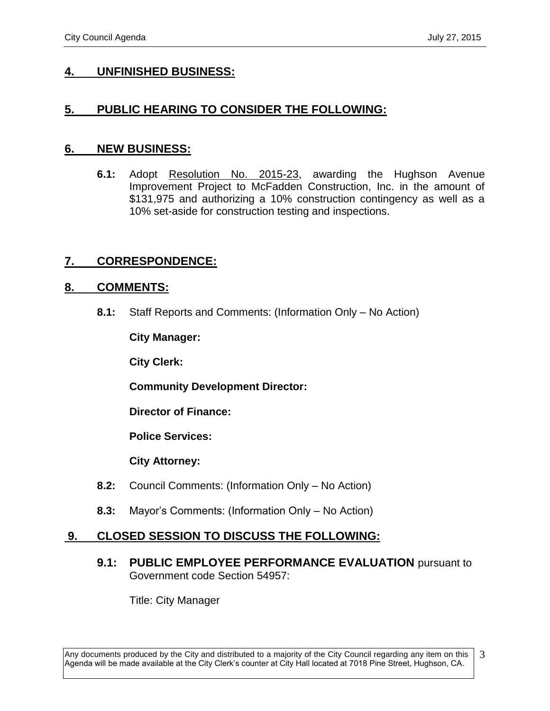## **4. UNFINISHED BUSINESS:**

## **5. PUBLIC HEARING TO CONSIDER THE FOLLOWING:**

#### **6. NEW BUSINESS:**

**6.1:** Adopt Resolution No. 2015-23, awarding the Hughson Avenue Improvement Project to McFadden Construction, Inc. in the amount of \$131,975 and authorizing a 10% construction contingency as well as a 10% set-aside for construction testing and inspections.

## **7. CORRESPONDENCE:**

#### **8. COMMENTS:**

**8.1:** Staff Reports and Comments: (Information Only – No Action)

**City Manager:** 

**City Clerk:**

**Community Development Director:**

**Director of Finance:**

**Police Services:**

**City Attorney:**

- **8.2:** Council Comments: (Information Only No Action)
- **8.3:** Mayor's Comments: (Information Only No Action)

#### **9. CLOSED SESSION TO DISCUSS THE FOLLOWING:**

**9.1: PUBLIC EMPLOYEE PERFORMANCE EVALUATION** pursuant to Government code Section 54957:

Title: City Manager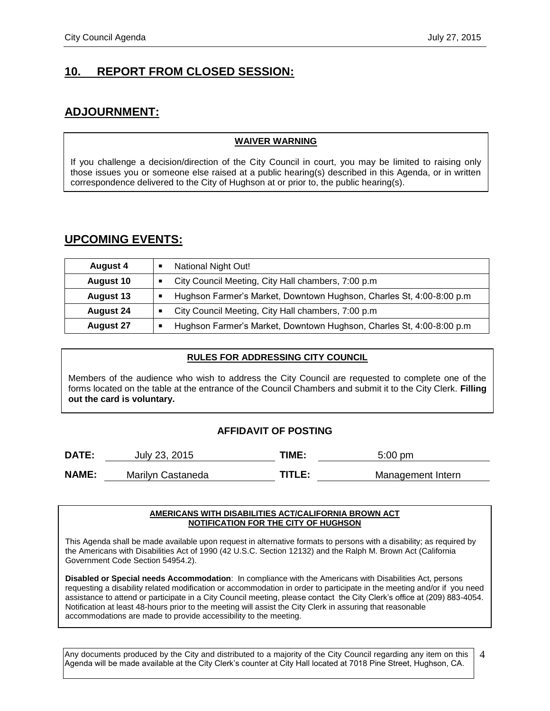## **10. REPORT FROM CLOSED SESSION:**

## **ADJOURNMENT:**

#### **WAIVER WARNING**

If you challenge a decision/direction of the City Council in court, you may be limited to raising only those issues you or someone else raised at a public hearing(s) described in this Agenda, or in written correspondence delivered to the City of Hughson at or prior to, the public hearing(s).

#### **UPCOMING EVENTS:**

| <b>August 4</b>  | National Night Out!                                                  |
|------------------|----------------------------------------------------------------------|
| <b>August 10</b> | City Council Meeting, City Hall chambers, 7:00 p.m.                  |
| <b>August 13</b> | Hughson Farmer's Market, Downtown Hughson, Charles St, 4:00-8:00 p.m |
| <b>August 24</b> | City Council Meeting, City Hall chambers, 7:00 p.m.                  |
| <b>August 27</b> | Hughson Farmer's Market, Downtown Hughson, Charles St, 4:00-8:00 p.m |

#### **RULES FOR ADDRESSING CITY COUNCIL**

Members of the audience who wish to address the City Council are requested to complete one of the forms located on the table at the entrance of the Council Chambers and submit it to the City Clerk. **Filling out the card is voluntary.**

#### **AFFIDAVIT OF POSTING**

| DATE:        | July 23, 2015     | TIME:  | $5:00 \text{ pm}$ |
|--------------|-------------------|--------|-------------------|
| <b>NAME:</b> | Marilyn Castaneda | TITLE: | Management Intern |

#### **AMERICANS WITH DISABILITIES ACT/CALIFORNIA BROWN ACT NOTIFICATION FOR THE CITY OF HUGHSON**

This Agenda shall be made available upon request in alternative formats to persons with a disability; as required by the Americans with Disabilities Act of 1990 (42 U.S.C. Section 12132) and the Ralph M. Brown Act (California Government Code Section 54954.2).

**Disabled or Special needs Accommodation**: In compliance with the Americans with Disabilities Act, persons requesting a disability related modification or accommodation in order to participate in the meeting and/or if you need assistance to attend or participate in a City Council meeting, please contact the City Clerk's office at (209) 883-4054. Notification at least 48-hours prior to the meeting will assist the City Clerk in assuring that reasonable accommodations are made to provide accessibility to the meeting.

Any documents produced by the City and distributed to a majority of the City Council regarding any item on this Agenda will be made available at the City Clerk's counter at City Hall located at 7018 Pine Street, Hughson, CA. 4